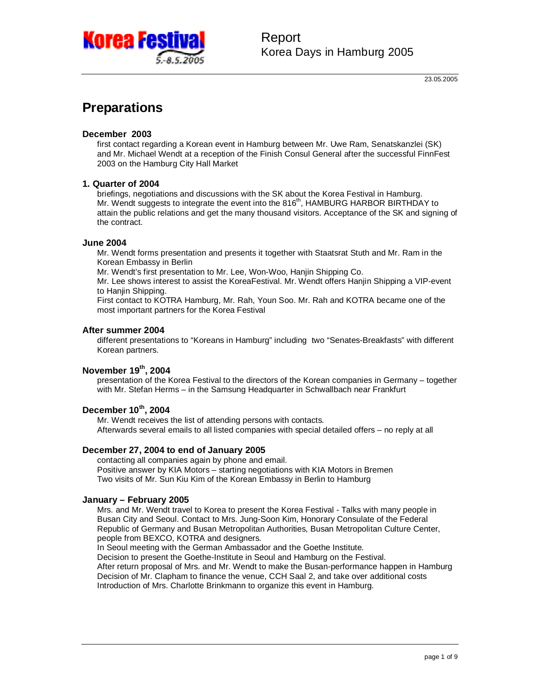

## **Preparations**

#### **December 2003**

first contact regarding a Korean event in Hamburg between Mr. Uwe Ram, Senatskanzlei (SK) and Mr. Michael Wendt at a reception of the Finish Consul General after the successful FinnFest 2003 on the Hamburg City Hall Market

#### **1. Quarter of 2004**

briefings, negotiations and discussions with the SK about the Korea Festival in Hamburg. Mr. Wendt suggests to integrate the event into the 816<sup>th</sup>, HAMBURG HARBOR BIRTHDAY to attain the public relations and get the many thousand visitors. Acceptance of the SK and signing of the contract.

#### **June 2004**

Mr. Wendt forms presentation and presents it together with Staatsrat Stuth and Mr. Ram in the Korean Embassy in Berlin

Mr. Wendt's first presentation to Mr. Lee, Won-Woo, Hanjin Shipping Co.

Mr. Lee shows interest to assist the KoreaFestival. Mr. Wendt offers Hanjin Shipping a VIP-event to Hanjin Shipping.

First contact to KOTRA Hamburg, Mr. Rah, Youn Soo. Mr. Rah and KOTRA became one of the most important partners for the Korea Festival

#### **After summer 2004**

different presentations to "Koreans in Hamburg" including two "Senates-Breakfasts" with different Korean partners.

#### **November 19th , 2004**

presentation of the Korea Festival to the directors of the Korean companies in Germany – together with Mr. Stefan Herms – in the Samsung Headquarter in Schwallbach near Frankfurt

### **December 10th , 2004**

Mr. Wendt receives the list of attending persons with contacts. Afterwards several emails to all listed companies with special detailed offers – no reply at all

#### **December 27, 2004 to end of January 2005**

contacting all companies again by phone and email. Positive answer by KIA Motors – starting negotiations with KIA Motors in Bremen Two visits of Mr. Sun Kiu Kim of the Korean Embassy in Berlin to Hamburg

#### **January – February 2005**

Mrs. and Mr. Wendt travel to Korea to present the Korea Festival - Talks with many people in Busan City and Seoul. Contact to Mrs. Jung-Soon Kim, Honorary Consulate of the Federal Republic of Germany and Busan Metropolitan Authorities, Busan Metropolitan Culture Center, people from BEXCO, KOTRA and designers.

In Seoul meeting with the German Ambassador and the Goethe Institute.

Decision to present the Goethe-Institute in Seoul and Hamburg on the Festival. After return proposal of Mrs. and Mr. Wendt to make the Busan-performance happen in Hamburg Decision of Mr. Clapham to finance the venue, CCH Saal 2, and take over additional costs Introduction of Mrs. Charlotte Brinkmann to organize this event in Hamburg.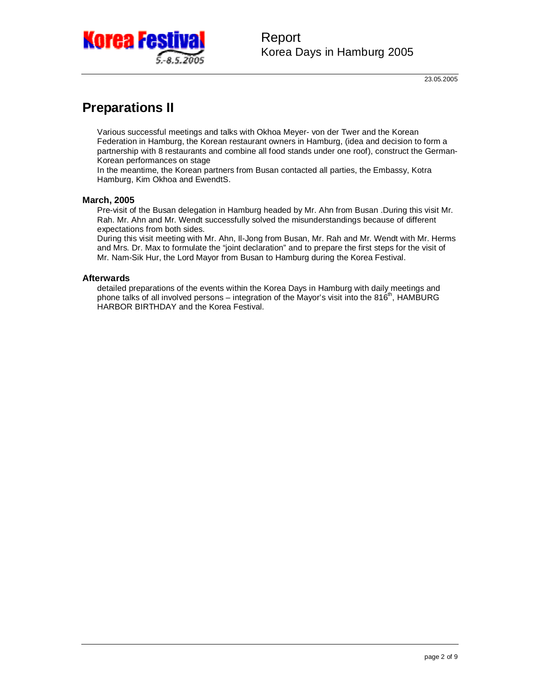

## **Preparations II**

Various successful meetings and talks with Okhoa Meyer- von der Twer and the Korean Federation in Hamburg, the Korean restaurant owners in Hamburg, (idea and decision to form a partnership with 8 restaurants and combine all food stands under one roof), construct the German-Korean performances on stage

In the meantime, the Korean partners from Busan contacted all parties, the Embassy, Kotra Hamburg, Kim Okhoa and EwendtS.

#### **March, 2005**

Pre-visit of the Busan delegation in Hamburg headed by Mr. Ahn from Busan .During this visit Mr. Rah. Mr. Ahn and Mr. Wendt successfully solved the misunderstandings because of different expectations from both sides.

During this visit meeting with Mr. Ahn, Il-Jong from Busan, Mr. Rah and Mr. Wendt with Mr. Herms and Mrs. Dr. Max to formulate the "joint declaration" and to prepare the first steps for the visit of Mr. Nam-Sik Hur, the Lord Mayor from Busan to Hamburg during the Korea Festival.

#### **Afterwards**

detailed preparations of the events within the Korea Days in Hamburg with daily meetings and phone talks of all involved persons – integration of the Mayor's visit into the 816<sup>th</sup>, HAMBURG HARBOR BIRTHDAY and the Korea Festival.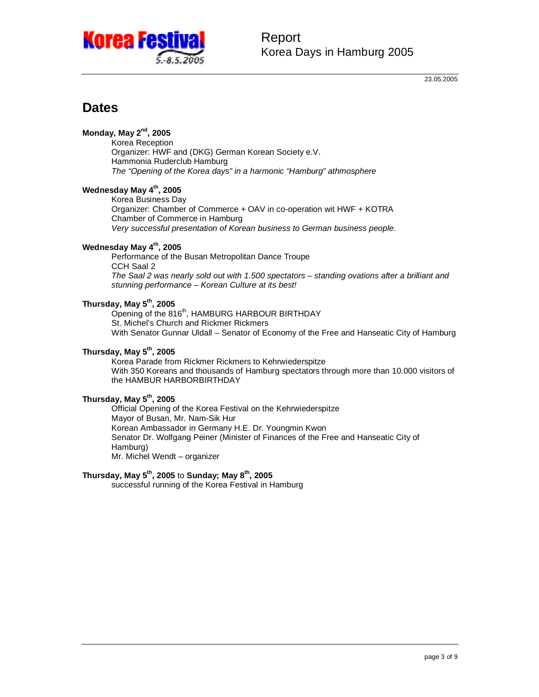

23.05.2005

## **Dates**

**Monday, May 2nd , 2005** 

Korea Reception Organizer: HWF and (DKG) German Korean Society e.V. Hammonia Ruderclub Hamburg *The "Opening of the Korea days" in a harmonic "Hamburg" athmosphere* 

### **Wednesday May 4th , 2005**

Korea Business Day Organizer: Chamber of Commerce + OAV in co-operation wit HWF + KOTRA Chamber of Commerce in Hamburg *Very successful presentation of Korean business to German business people.* 

#### **Wednesday May 4th , 2005**

Performance of the Busan Metropolitan Dance Troupe CCH Saal 2 *The Saal 2 was nearly sold out with 1.500 spectators – standing ovations after a brilliant and stunning performance – Korean Culture at its best!* 

#### **Thursday, May 5th , 2005**

Opening of the 816<sup>th</sup>, HAMBURG HARBOUR BIRTHDAY St. Michel's Church and Rickmer Rickmers With Senator Gunnar Uldall – Senator of Economy of the Free and Hanseatic City of Hamburg

#### **Thursday, May 5th , 2005**

Korea Parade from Rickmer Rickmers to Kehrwiederspitze With 350 Koreans and thousands of Hamburg spectators through more than 10.000 visitors of the HAMBUR HARBORBIRTHDAY

### **Thursday, May 5th , 2005**

Official Opening of the Korea Festival on the Kehrwiederspitze Mayor of Busan, Mr. Nam-Sik Hur Korean Ambassador in Germany H.E. Dr. Youngmin Kwon Senator Dr. Wolfgang Peiner (Minister of Finances of the Free and Hanseatic City of Hamburg) Mr. Michel Wendt – organizer

### **Thursday, May 5th , 2005** to **Sunday; May 8th , 2005**

successful running of the Korea Festival in Hamburg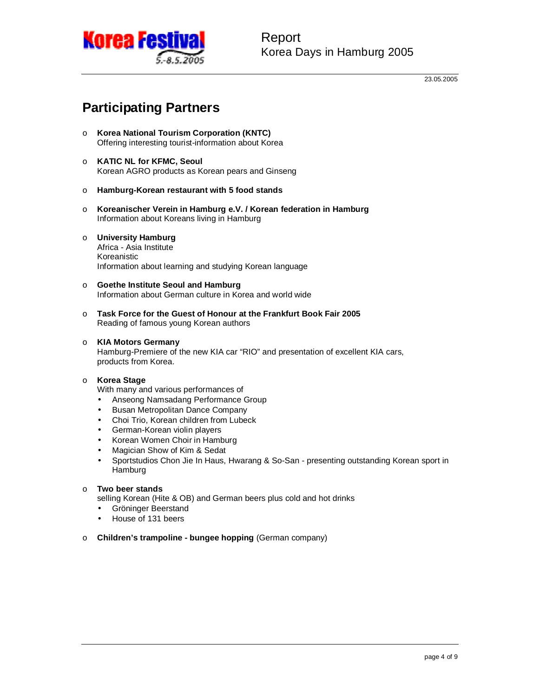

23.05.2005

# **Participating Partners**

- o **Korea National Tourism Corporation (KNTC)**  Offering interesting tourist-information about Korea
- o **KATIC NL for KFMC, Seoul**  Korean AGRO products as Korean pears and Ginseng
- o **Hamburg-Korean restaurant with 5 food stands**
- o **Koreanischer Verein in Hamburg e.V. / Korean federation in Hamburg**  Information about Koreans living in Hamburg
- o **University Hamburg**

Africa - Asia Institute Koreanistic Information about learning and studying Korean language

- o **Goethe Institute Seoul and Hamburg**  Information about German culture in Korea and world wide
- o **Task Force for the Guest of Honour at the Frankfurt Book Fair 2005**  Reading of famous young Korean authors

#### o **KIA Motors Germany**

Hamburg-Premiere of the new KIA car "RIO" and presentation of excellent KIA cars, products from Korea.

#### o **Korea Stage**

With many and various performances of

- Anseong Namsadang Performance Group
- Busan Metropolitan Dance Company
- Choi Trio, Korean children from Lubeck
- German-Korean violin players
- Korean Women Choir in Hamburg
- Magician Show of Kim & Sedat
- Sportstudios Chon Jie In Haus, Hwarang & So-San presenting outstanding Korean sport in Hamburg

#### o **Two beer stands**

selling Korean (Hite & OB) and German beers plus cold and hot drinks

- Gröninger Beerstand
- House of 131 beers
- o **Children's trampoline bungee hopping** (German company)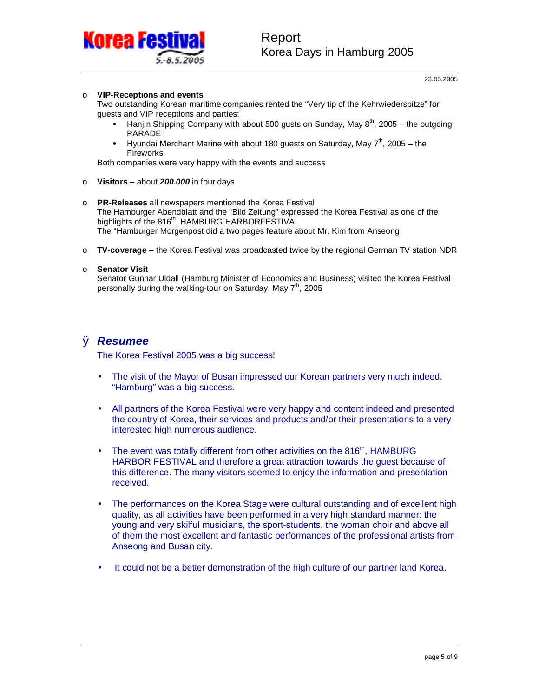

#### o **VIP-Receptions and events**

Two outstanding Korean maritime companies rented the "Very tip of the Kehrwiederspitze" for guests and VIP receptions and parties:

- Hanjin Shipping Company with about 500 gusts on Sunday, May  $8<sup>th</sup>$ , 2005 the outgoing PARADE
- Hyundai Merchant Marine with about 180 guests on Saturday, May  $7<sup>th</sup>$ , 2005 the Fireworks

Both companies were very happy with the events and success

- o **Visitors**  about *200.000* in four days
- o **PR-Releases** all newspapers mentioned the Korea Festival The Hamburger Abendblatt and the "Bild Zeitung" expressed the Korea Festival as one of the highlights of the 816<sup>th</sup>, HAMBURG HARBORFESTIVAL The "Hamburger Morgenpost did a two pages feature about Mr. Kim from Anseong
- o **TV-coverage** the Korea Festival was broadcasted twice by the regional German TV station NDR

#### o **Senator Visit**

Senator Gunnar Uldall (Hamburg Minister of Economics and Business) visited the Korea Festival personally during the walking-tour on Saturday, May 7<sup>th</sup>, 2005

### Ø *Resumee*

The Korea Festival 2005 was a big success!

- The visit of the Mayor of Busan impressed our Korean partners very much indeed. "Hamburg" was a big success.
- All partners of the Korea Festival were very happy and content indeed and presented the country of Korea, their services and products and/or their presentations to a very interested high numerous audience.
- The event was totally different from other activities on the  $816<sup>th</sup>$ , HAMBURG HARBOR FESTIVAL and therefore a great attraction towards the guest because of this difference. The many visitors seemed to enjoy the information and presentation received.
- The performances on the Korea Stage were cultural outstanding and of excellent high quality, as all activities have been performed in a very high standard manner: the young and very skilful musicians, the sport-students, the woman choir and above all of them the most excellent and fantastic performances of the professional artists from Anseong and Busan city.
- It could not be a better demonstration of the high culture of our partner land Korea.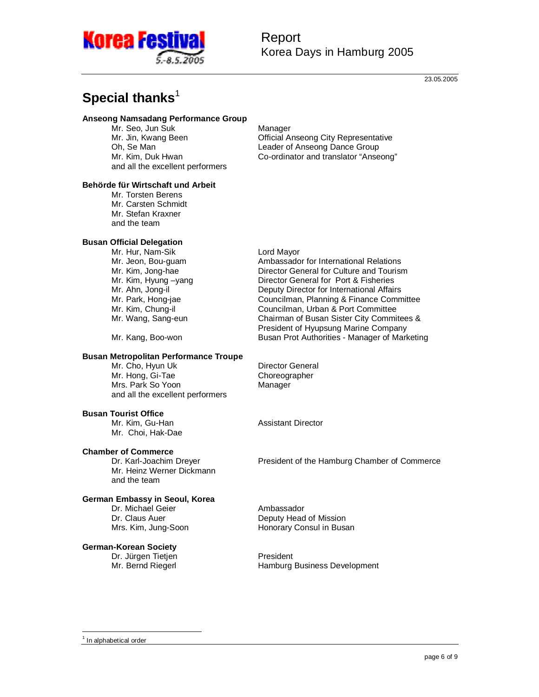

## Report Korea Days in Hamburg 2005

23.05.2005

# **Special thanks**<sup>1</sup>

#### **Anseong Namsadang Performance Group**

Mr. Seo, Jun Suk **Manager** Manager and all the excellent performers

Mr. Jin, Kwang Been Official Anseong City Representative Oh, Se Man Leader of Anseong Dance Group Mr. Kim, Duk Hwan Co-ordinator and translator "Anseong"

#### **Behörde für Wirtschaft und Arbeit**

Mr. Torsten Berens Mr. Carsten Schmidt Mr. Stefan Kraxner and the team

#### **Busan Official Delegation**

Mr. Hur, Nam-Sik Lord Mayor

#### **Busan Metropolitan Performance Troupe**

Mr. Cho, Hyun Uk Director General Mr. Hong, Gi-Tae Choreographer Mrs. Park So Yoon Manager and all the excellent performers

#### **Busan Tourist Office**

Mr. Kim, Gu-Han Assistant Director Mr. Choi, Hak-Dae

# **Chamber of Commerce**

Mr. Heinz Werner Dickmann and the team

#### **German Embassy in Seoul, Korea**

Dr. Michael Geier **Ambassador** 

#### **German-Korean Society**

Dr. Jürgen Tietjen **President**<br>Mr. Bernd Riegerl President President

Mr. Jeon, Bou-guam **Ambassador for International Relations**<br>Mr. Kim, Jong-hae **Director General for Culture and Touris** Director General for Culture and Tourism Mr. Kim, Hyung -yang Director General for Port & Fisheries Mr. Ahn, Jong-il Deputy Director for International Affairs Mr. Park, Hong-jae Councilman, Planning & Finance Committee Mr. Kim, Chung-il<br>Mr. Wang, Sang-eun Chairman of Busan Sister City Committee Chairman of Busan Sister City Commitees & President of Hyupsung Marine Company Mr. Kang, Boo-won Busan Prot Authorities - Manager of Marketing

President of the Hamburg Chamber of Commerce

Dr. Claus Auer **Deputy Head of Mission** Mrs. Kim, Jung-Soon Honorary Consul in Busan

Hamburg Business Development

-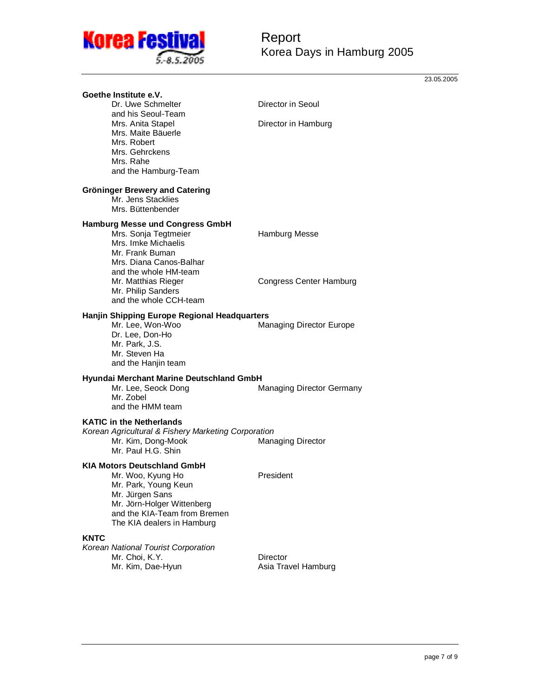

23.05.2005

|      | Goethe Institute e.V.<br>Dr. Uwe Schmelter<br>and his Seoul-Team<br>Mrs. Anita Stapel<br>Mrs. Maite Bäuerle<br>Mrs. Robert<br>Mrs. Gehrckens<br>Mrs. Rahe<br>and the Hamburg-Team       | Director in Seoul                |
|------|-----------------------------------------------------------------------------------------------------------------------------------------------------------------------------------------|----------------------------------|
|      |                                                                                                                                                                                         | Director in Hamburg              |
|      | Gröninger Brewery and Catering<br>Mr. Jens Stacklies<br>Mrs. Büttenbender                                                                                                               |                                  |
|      | <b>Hamburg Messe und Congress GmbH</b><br>Mrs. Sonja Tegtmeier<br>Mrs. Imke Michaelis<br>Mr. Frank Buman<br>Mrs. Diana Canos-Balhar                                                     | Hamburg Messe                    |
|      | and the whole HM-team<br>Mr. Matthias Rieger<br>Mr. Philip Sanders<br>and the whole CCH-team                                                                                            | <b>Congress Center Hamburg</b>   |
|      | Hanjin Shipping Europe Regional Headquarters<br>Mr. Lee, Won-Woo<br>Dr. Lee, Don-Ho<br>Mr. Park, J.S.<br>Mr. Steven Ha<br>and the Hanjin team                                           | Managing Director Europe         |
|      | Hyundai Merchant Marine Deutschland GmbH<br>Mr. Lee, Seock Dong<br>Mr. Zobel<br>and the HMM team                                                                                        | <b>Managing Director Germany</b> |
|      | <b>KATIC in the Netherlands</b><br>Korean Agricultural & Fishery Marketing Corporation<br>Mr. Kim, Dong-Mook<br>Mr. Paul H.G. Shin                                                      | <b>Managing Director</b>         |
|      | KIA Motors Deutschland GmbH<br>Mr. Woo, Kyung Ho<br>Mr. Park, Young Keun<br>Mr. Jürgen Sans<br>Mr. Jörn-Holger Wittenberg<br>and the KIA-Team from Bremen<br>The KIA dealers in Hamburg | President                        |
| KNTC | Korean National Tourist Corporation<br>Mr. Choi, K.Y.<br>Mr. Kim, Dae-Hyun                                                                                                              | Director<br>Asia Travel Hamburg  |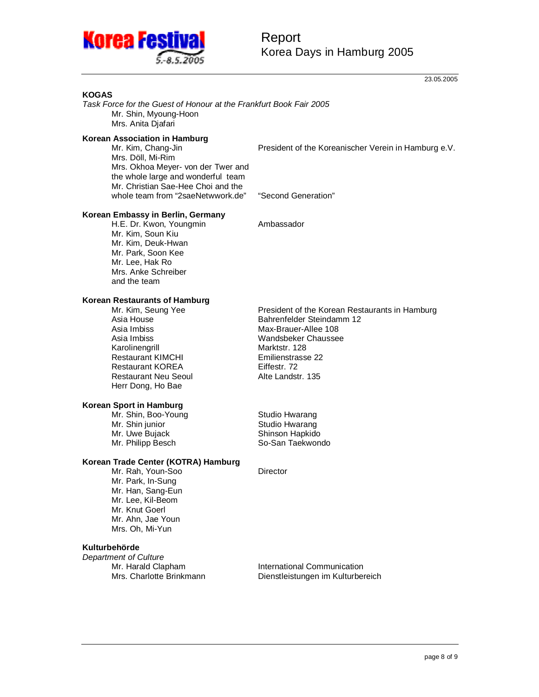

## Report Korea Days in Hamburg 2005

23.05.2005

#### **KOGAS**

*Task Force for the Guest of Honour at the Frankfurt Book Fair 2005*  Mr. Shin, Myoung-Hoon Mrs. Anita Djafari

#### **Korean Association in Hamburg**

Mrs. Döll, Mi-Rim Mrs. Okhoa Meyer- von der Twer and the whole large and wonderful team Mr. Christian Sae-Hee Choi and the whole team from "2saeNetwwork.de" "Second Generation"

Mr. Kim, Chang-Jin **President of the Koreanischer Verein in Hamburg e.V.** 

#### **Korean Embassy in Berlin, Germany**

H.E. Dr. Kwon, Youngmin Ambassador Mr. Kim, Soun Kiu Mr. Kim, Deuk-Hwan Mr. Park, Soon Kee Mr. Lee, Hak Ro Mrs. Anke Schreiber and the team

#### **Korean Restaurants of Hamburg**

Asia Imbiss Max-Brauer-Allee 108 Karolinengrill Marktstr. 128 Restaurant KIMCHI Emilienstrasse 22 Restaurant KOREA Eiffestr. 72 Restaurant Neu Seoul **Alte Landstr. 135** Herr Dong, Ho Bae

#### **Korean Sport in Hamburg**

Mr. Shin, Boo-Young **Studio Hwarang**<br>Mr. Shin junior **Studio Hwarang** Mr. Uwe Bujack Shinson Hapkido Mr. Philipp Besch So-San Taekwondo

#### **Korean Trade Center (KOTRA) Hamburg**

Mr. Rah, Youn-Soo Mr. Park, In-Sung Mr. Han, Sang-Eun Mr. Lee, Kil-Beom Mr. Knut Goerl Mr. Ahn, Jae Youn Mrs. Oh, Mi-Yun

#### **Kulturbehörde**

*Department of Culture* 

Mr. Kim, Seung Yee **President of the Korean Restaurants in Hamburg**<br>Asia House **President Bahrenfelder Steindamm** 12 Asia House **Bahrenfelder Steindamm 12**<br>Asia Imbiss **Max-Brauer-Allee 108** Wandsbeker Chaussee

Studio Hwarang

Mr. Harald Clapham International Communication Mrs. Charlotte Brinkmann Dienstleistungen im Kulturbereich